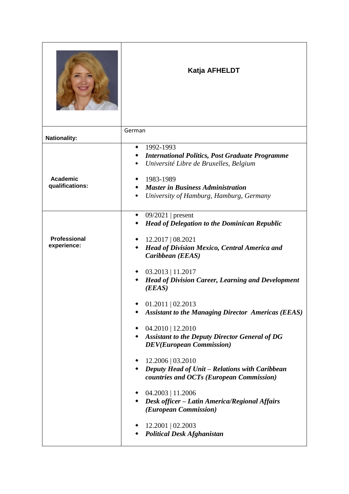|                                    | Katja AFHELDT                                                                                                                                                                                                                                                                                                                                                                                                                                                                                                                                                                                                                                                                                                     |
|------------------------------------|-------------------------------------------------------------------------------------------------------------------------------------------------------------------------------------------------------------------------------------------------------------------------------------------------------------------------------------------------------------------------------------------------------------------------------------------------------------------------------------------------------------------------------------------------------------------------------------------------------------------------------------------------------------------------------------------------------------------|
| <b>Nationality:</b>                | German                                                                                                                                                                                                                                                                                                                                                                                                                                                                                                                                                                                                                                                                                                            |
| <b>Academic</b><br>qualifications: | 1992-1993<br><b>International Politics, Post Graduate Programme</b><br>Université Libre de Bruxelles, Belgium<br>1983-1989<br><b>Master in Business Administration</b><br>University of Hamburg, Hamburg, Germany                                                                                                                                                                                                                                                                                                                                                                                                                                                                                                 |
| Professional<br>experience:        | $09/2021$   present<br><b>Head of Delegation to the Dominican Republic</b><br>12.2017   08.2021<br><b>Head of Division Mexico, Central America and</b><br>Caribbean (EEAS)<br>$03.2013$   11.2017<br><b>Head of Division Career, Learning and Development</b><br>(EEAS)<br>$01.2011 \mid 02.2013$<br><b>Assistant to the Managing Director Americas (EEAS)</b><br>04.2010   12.2010<br><b>Assistant to the Deputy Director General of DG</b><br>٠<br><b>DEV</b> (European Commission)<br>12.2006   03.2010<br>Deputy Head of Unit – Relations with Caribbean<br>countries and OCTs (European Commission)<br>$\bullet$ 04.2003   11.2006<br>Desk officer - Latin America/Regional Affairs<br>(European Commission) |
|                                    | $12.2001 \mid 02.2003$<br><b>Political Desk Afghanistan</b>                                                                                                                                                                                                                                                                                                                                                                                                                                                                                                                                                                                                                                                       |